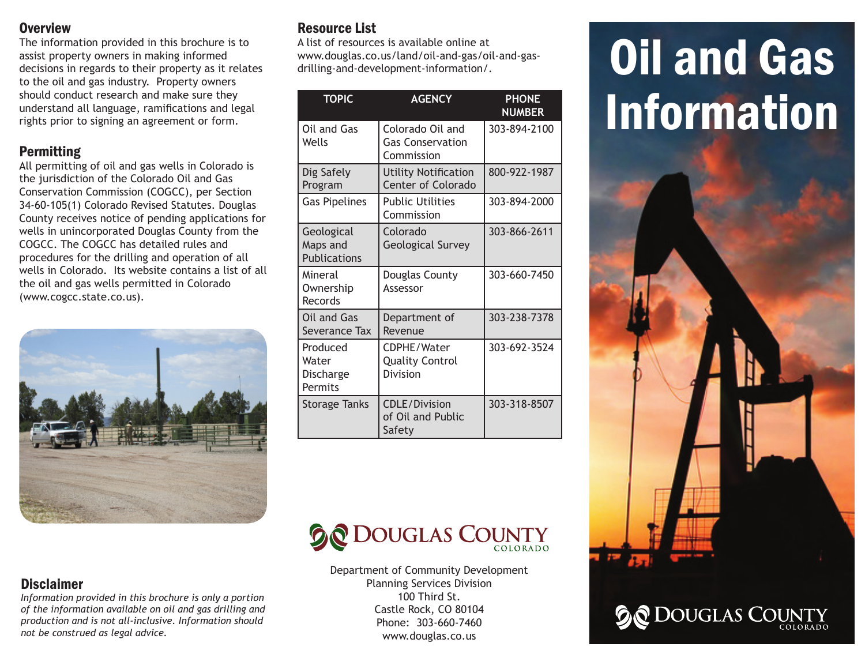#### **Overview**

The information provided in this brochure is to assist property owners in making informed decisions in regards to their property as it relates to the oil and gas industry. Property owners should conduct research and make sure they understand all language, ramifications and legal rights prior to signing an agreement or form.

## Permitting

All permitting of oil and gas wells in Colorado is the jurisdiction of the Colorado Oil and Gas Conservation Commission (COGCC), per Section 34-60-105(1) Colorado Revised Statutes. Douglas County receives notice of pending applications for wells in unincorporated Douglas County from the COGCC. The COGCC has detailed rules and procedures for the drilling and operation of all wells in Colorado. Its website contains a list of all the oil and gas wells permitted in Colorado (www.cogcc.state.co.us).



# Resource List

A list of resources is available online at www.douglas.co.us/land/oil-and-gas/oil-and-gasdrilling-and-development-information/.

| <b>TOPIC</b>                                  | <b>AGENCY</b>                                             | <b>PHONE</b><br><b>NUMBER</b> |
|-----------------------------------------------|-----------------------------------------------------------|-------------------------------|
| Oil and Gas<br>Wells                          | Colorado Oil and<br><b>Gas Conservation</b><br>Commission | 303-894-2100                  |
| Dig Safely<br>Program                         | <b>Utility Notification</b><br><b>Center of Colorado</b>  | 800-922-1987                  |
| <b>Gas Pipelines</b>                          | <b>Public Utilities</b><br>Commission                     | 303-894-2000                  |
| Geological<br>Maps and<br><b>Publications</b> | Colorado<br><b>Geological Survey</b>                      | 303-866-2611                  |
| Mineral<br>Ownership<br>Records               | Douglas County<br>Assessor                                | 303-660-7450                  |
| Oil and Gas<br>Severance Tax                  | Department of<br>Revenue                                  | 303-238-7378                  |
| Produced<br>Water<br>Discharge<br>Permits     | CDPHE/Water<br><b>Quality Control</b><br>Division         | 303-692-3524                  |
| <b>Storage Tanks</b>                          | <b>CDLE/Division</b><br>of Oil and Public<br>Safety       | 303-318-8507                  |

**DOUGLAS COUNTY** 

Department of Community Development Planning Services Division 100 Third St. Castle Rock, CO 80104 Phone: 303-660-7460 www.douglas.co.us

# **Oil and Gas** Information



**DOUGLAS COUNTY** 

#### Disclaimer

*Information provided in this brochure is only a portion of the information available on oil and gas drilling and production and is not all-inclusive. Information should not be construed as legal advice.*